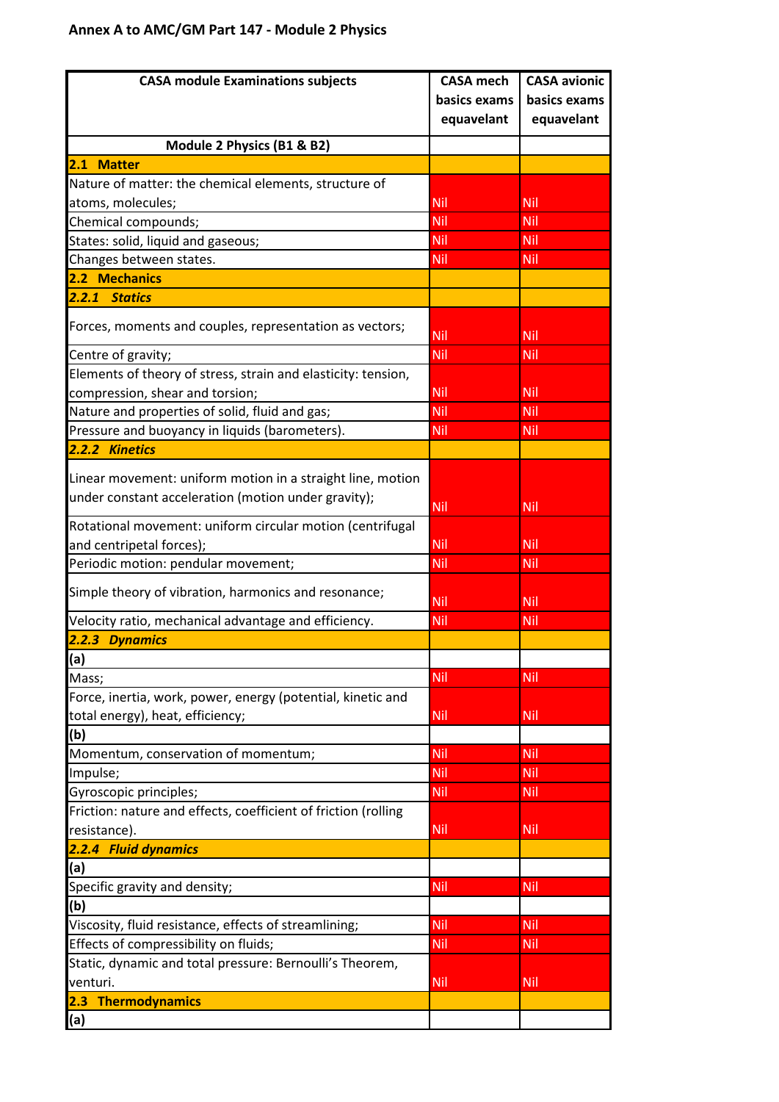## **Annex A to AMC/GM Part 147 - Module 2 Physics**

| <b>CASA module Examinations subjects</b>                       | <b>CASA mech</b> | <b>CASA avionic</b> |
|----------------------------------------------------------------|------------------|---------------------|
|                                                                | basics exams     | basics exams        |
|                                                                | equavelant       | equavelant          |
| Module 2 Physics (B1 & B2)                                     |                  |                     |
| 2.1 Matter                                                     |                  |                     |
| Nature of matter: the chemical elements, structure of          |                  |                     |
| atoms, molecules;                                              | Nil              | Nil                 |
| Chemical compounds;                                            | Nil              | Nil                 |
| States: solid, liquid and gaseous;                             | <b>Nil</b>       | Nil                 |
| Changes between states.                                        | Nil              | Nil                 |
| 2.2 Mechanics                                                  |                  |                     |
| <b>Statics</b><br>2.2.1                                        |                  |                     |
|                                                                |                  |                     |
| Forces, moments and couples, representation as vectors;        | <b>Nil</b>       | Nil                 |
| Centre of gravity;                                             | Nil              | Nil                 |
| Elements of theory of stress, strain and elasticity: tension,  |                  |                     |
| compression, shear and torsion;                                | <b>Nil</b>       | Nil                 |
| Nature and properties of solid, fluid and gas;                 | <b>Nil</b>       | Nil                 |
| Pressure and buoyancy in liquids (barometers).                 | <b>Nil</b>       | Nil                 |
| 2.2.2 Kinetics                                                 |                  |                     |
|                                                                |                  |                     |
| Linear movement: uniform motion in a straight line, motion     |                  |                     |
| under constant acceleration (motion under gravity);            | Nil              | Nil                 |
| Rotational movement: uniform circular motion (centrifugal      |                  |                     |
| and centripetal forces);                                       | Nil              | Nil                 |
| Periodic motion: pendular movement;                            | <b>Nil</b>       | Nil                 |
|                                                                |                  |                     |
| Simple theory of vibration, harmonics and resonance;           | <b>Nil</b>       | Nil                 |
| Velocity ratio, mechanical advantage and efficiency.           | Nil              | Nil                 |
| 2.2.3 Dynamics                                                 |                  |                     |
| (a)                                                            |                  |                     |
| Mass;                                                          | Nil              | Nil                 |
| Force, inertia, work, power, energy (potential, kinetic and    |                  |                     |
| total energy), heat, efficiency;                               | Nil              | Nil                 |
| (b)                                                            |                  |                     |
| Momentum, conservation of momentum;                            | Nil              | Nil                 |
| Impulse;                                                       | <b>Nil</b>       | Nil                 |
| Gyroscopic principles;                                         | <b>Nil</b>       | Nil                 |
| Friction: nature and effects, coefficient of friction (rolling |                  |                     |
| resistance).                                                   | <b>Nil</b>       | Nil                 |
| 2.2.4 Fluid dynamics                                           |                  |                     |
| (a)                                                            |                  |                     |
| Specific gravity and density;                                  | <b>Nil</b>       | Nil                 |
| (b)                                                            |                  |                     |
| Viscosity, fluid resistance, effects of streamlining;          | Nil              | Nil                 |
| Effects of compressibility on fluids;                          | <b>Nil</b>       | Nil                 |
| Static, dynamic and total pressure: Bernoulli's Theorem,       |                  |                     |
| venturi.                                                       | Nil              | Nil                 |
| <b>Thermodynamics</b><br>2.3                                   |                  |                     |
| (a)                                                            |                  |                     |